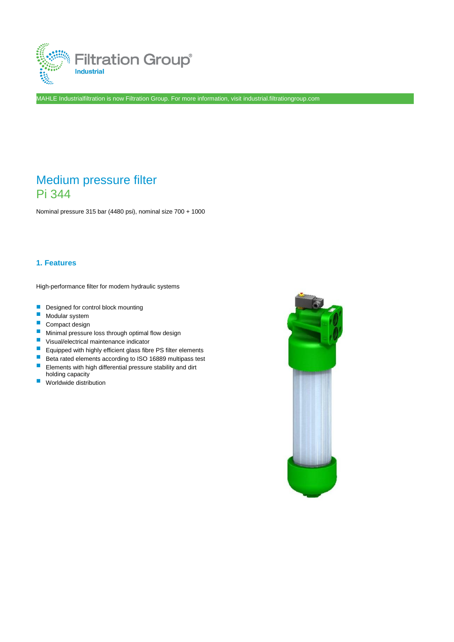

MAHLE Industrialfiltration is now Filtration Group. For more information, visit industrial.filtrationgroup.com

# Medium pressure filter Pi 344

Nominal pressure 315 bar (4480 psi), nominal size 700 + 1000

## **1. Features**

High-performance filter for modern hydraulic systems

- Designed for control block mounting
- Modular system
- Compact design
- **Minimal pressure loss through optimal flow design**
- Visual/electrical maintenance indicator
- **Equipped with highly efficient glass fibre PS filter elements**
- Beta rated elements according to ISO 16889 multipass test
- **Elements with high differential pressure stability and dirt** holding capacity
- Worldwide distribution

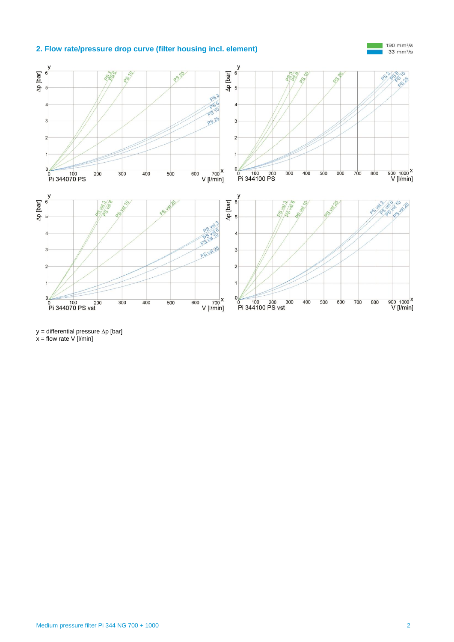## **2. Flow rate/pressure drop curve (filter housing incl. element)**



 $y =$  differential pressure  $\Delta p$  [bar]  $x =$  flow rate V [l/min]

190 mm<sup>2</sup>/s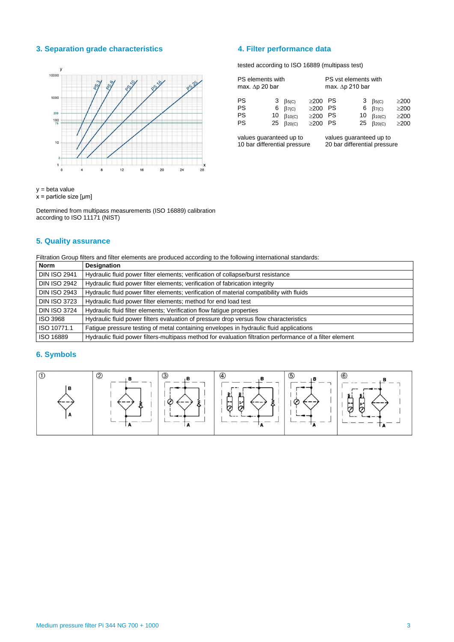## **3. Separation grade characteristics 4. Filter performance data**



y = beta value

 $x =$  particle size [µm]

Determined from multipass measurements (ISO 16889) calibration according to ISO 11171 (NIST)

## **5. Quality assurance**

Filtration Group filters and filter elements are produced according to the following international standards:

| <b>Norm</b>         | <b>Designation</b>                                                                                       |
|---------------------|----------------------------------------------------------------------------------------------------------|
| <b>DIN ISO 2941</b> | Hydraulic fluid power filter elements; verification of collapse/burst resistance                         |
| <b>DIN ISO 2942</b> | Hydraulic fluid power filter elements; verification of fabrication integrity                             |
| <b>DIN ISO 2943</b> | Hydraulic fluid power filter elements; verification of material compatibility with fluids                |
| <b>DIN ISO 3723</b> | Hydraulic fluid power filter elements; method for end load test                                          |
| <b>DIN ISO 3724</b> | Hydraulic fluid filter elements: Verification flow fatique properties                                    |
| ISO 3968            | Hydraulic fluid power filters evaluation of pressure drop versus flow characteristics                    |
| ISO 10771.1         | Fatigue pressure testing of metal containing envelopes in hydraulic fluid applications                   |
| ISO 16889           | Hydraulic fluid power filters-multipass method for evaluation filtration performance of a filter element |

## **6. Symbols**



tested according to ISO 16889 (multipass test)

| PS elements with<br>max. $\Delta p$ 20 bar |         |                                                                                              | PS vst elements with<br>max. $\Delta p$ 210 bar |                                   |  |                                                                                          |                                                      |
|--------------------------------------------|---------|----------------------------------------------------------------------------------------------|-------------------------------------------------|-----------------------------------|--|------------------------------------------------------------------------------------------|------------------------------------------------------|
| <b>PS</b><br><b>PS</b><br><b>PS</b><br>PS  | 3<br>10 | $\beta$ <sub>5</sub> (C)<br>6 $\beta$ <sub>7(C)</sub><br>$\beta$ 10(C)<br>25 $\beta_{20(C)}$ | $\geq$ 200<br>$\geq$ 200<br>$\geq$ 200<br>>200  | - PS<br>- PS<br><b>PS</b><br>- PS |  | $3\beta_{5(C)}$<br>6 $\beta$ <sub>7(C)</sub><br>10 $\beta_{10(C)}$<br>25 $\beta_{20(C)}$ | $\geq$ 200<br>$\geq$ 200<br>$\geq$ 200<br>$\geq$ 200 |

values guaranteed up to 10 bar differential pressure values guaranteed up to 20 bar differential pressure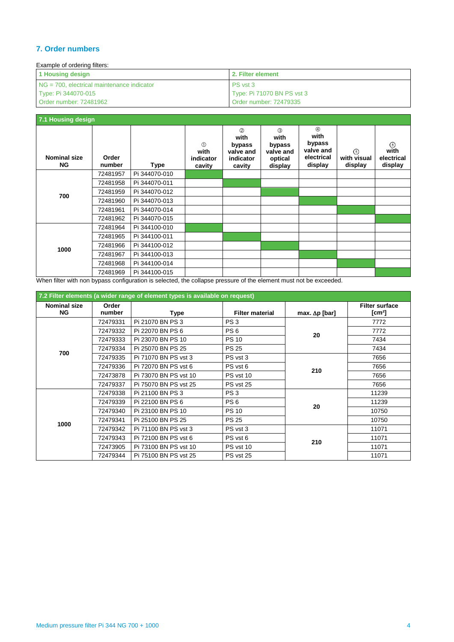## **7. Order numbers**

| Example of ordering filters:                  |                            |  |  |  |  |
|-----------------------------------------------|----------------------------|--|--|--|--|
| 1 Housing design                              | 2. Filter element          |  |  |  |  |
| $NG = 700$ , electrical maintenance indicator | PS vst 3                   |  |  |  |  |
| Type: Pi 344070-015                           | Type: Pi 71070 BN PS vst 3 |  |  |  |  |
| Order number: 72481962                        | Order number: 72479335     |  |  |  |  |

| 7.1 Housing design               |                 |               |                                              |                                                           |                                                          |                                                                     |                                   |                                          |
|----------------------------------|-----------------|---------------|----------------------------------------------|-----------------------------------------------------------|----------------------------------------------------------|---------------------------------------------------------------------|-----------------------------------|------------------------------------------|
| <b>Nominal size</b><br><b>NG</b> | Order<br>number | <b>Type</b>   | $\circled{0}$<br>with<br>indicator<br>cavity | (2)<br>with<br>bypass<br>valve and<br>indicator<br>cavity | (3)<br>with<br>bypass<br>valve and<br>optical<br>display | $\circledA$<br>with<br>bypass<br>valve and<br>electrical<br>display | $\odot$<br>with visual<br>display | $\circ$<br>with<br>electrical<br>display |
|                                  | 72481957        | Pi 344070-010 |                                              |                                                           |                                                          |                                                                     |                                   |                                          |
|                                  | 72481958        | Pi 344070-011 |                                              |                                                           |                                                          |                                                                     |                                   |                                          |
| 700                              | 72481959        | Pi 344070-012 |                                              |                                                           |                                                          |                                                                     |                                   |                                          |
|                                  | 72481960        | Pi 344070-013 |                                              |                                                           |                                                          |                                                                     |                                   |                                          |
|                                  | 72481961        | Pi 344070-014 |                                              |                                                           |                                                          |                                                                     |                                   |                                          |
|                                  | 72481962        | Pi 344070-015 |                                              |                                                           |                                                          |                                                                     |                                   |                                          |
|                                  | 72481964        | Pi 344100-010 |                                              |                                                           |                                                          |                                                                     |                                   |                                          |
| 1000                             | 72481965        | Pi 344100-011 |                                              |                                                           |                                                          |                                                                     |                                   |                                          |
|                                  | 72481966        | Pi 344100-012 |                                              |                                                           |                                                          |                                                                     |                                   |                                          |
|                                  | 72481967        | Pi 344100-013 |                                              |                                                           |                                                          |                                                                     |                                   |                                          |
|                                  | 72481968        | Pi 344100-014 |                                              |                                                           |                                                          |                                                                     |                                   |                                          |
|                                  | 72481969        | Pi 344100-015 |                                              |                                                           |                                                          |                                                                     |                                   |                                          |

When filter with non bypass configuration is selected, the collapse pressure of the element must not be exceeded.

| 7.2 Filter elements (a wider range of element types is available on request) |                 |                       |                        |                       |                                             |  |  |
|------------------------------------------------------------------------------|-----------------|-----------------------|------------------------|-----------------------|---------------------------------------------|--|--|
| <b>Nominal size</b><br><b>NG</b>                                             | Order<br>number | Type                  | <b>Filter material</b> | max. $\Delta p$ [bar] | <b>Filter surface</b><br>[cm <sup>2</sup> ] |  |  |
|                                                                              | 72479331        | Pi 21070 BN PS 3      | PS <sub>3</sub>        |                       | 7772                                        |  |  |
|                                                                              | 72479332        | Pi 22070 BN PS 6      | PS <sub>6</sub>        | 20                    | 7772                                        |  |  |
|                                                                              | 72479333        | Pi 23070 BN PS 10     | <b>PS 10</b>           |                       | 7434                                        |  |  |
| 700                                                                          | 72479334        | Pi 25070 BN PS 25     | <b>PS 25</b>           |                       | 7434                                        |  |  |
|                                                                              | 72479335        | Pi 71070 BN PS vst 3  | PS vst 3               |                       | 7656                                        |  |  |
|                                                                              | 72479336        | Pi 72070 BN PS vst 6  | PS vst 6               | 210                   | 7656                                        |  |  |
|                                                                              | 72473878        | Pi 73070 BN PS vst 10 | PS vst 10              |                       | 7656                                        |  |  |
|                                                                              | 72479337        | Pi 75070 BN PS vst 25 | PS vst 25              |                       | 7656                                        |  |  |
|                                                                              | 72479338        | Pi 21100 BN PS 3      | PS <sub>3</sub>        |                       | 11239                                       |  |  |
|                                                                              | 72479339        | Pi 22100 BN PS 6      | PS <sub>6</sub>        |                       | 11239                                       |  |  |
|                                                                              | 72479340        | Pi 23100 BN PS 10     | <b>PS 10</b>           | 20                    | 10750                                       |  |  |
| 1000                                                                         | 72479341        | Pi 25100 BN PS 25     | <b>PS 25</b>           |                       | 10750                                       |  |  |
|                                                                              | 72479342        | Pi 71100 BN PS vst 3  | PS vst 3               |                       | 11071                                       |  |  |
|                                                                              | 72479343        | Pi 72100 BN PS vst 6  | PS vst 6               | 210                   | 11071                                       |  |  |
|                                                                              | 72473905        | Pi 73100 BN PS vst 10 | PS vst 10              |                       | 11071                                       |  |  |
|                                                                              | 72479344        | Pi 75100 BN PS vst 25 | PS vst 25              |                       | 11071                                       |  |  |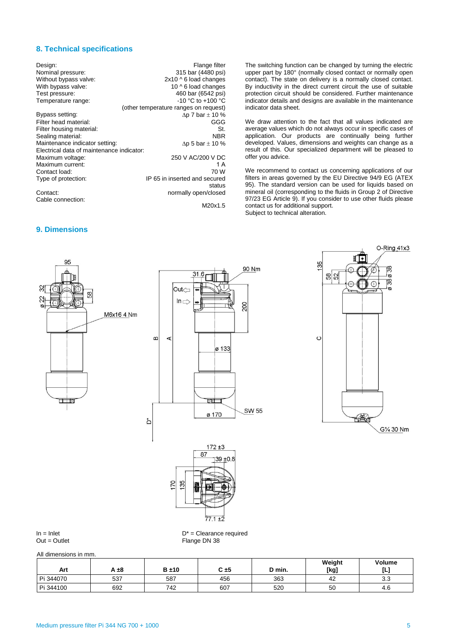### **8. Technical specifications**

| Design:<br>Nominal pressure:<br>Without bypass valve:<br>With bypass valve:<br>Test pressure: | Flange filter<br>315 bar (4480 psi)<br>$2x10 \wedge 6$ load changes<br>10 ^ 6 load changes<br>460 bar (6542 psi) |
|-----------------------------------------------------------------------------------------------|------------------------------------------------------------------------------------------------------------------|
| Temperature range:                                                                            | $-10 °C$ to $+100 °C$                                                                                            |
|                                                                                               | (other temperature ranges on request)                                                                            |
| Bypass setting:                                                                               | $\Delta p$ 7 bar $\pm$ 10 %                                                                                      |
| Filter head material:                                                                         | GGG                                                                                                              |
| Filter housing material:                                                                      | St.                                                                                                              |
| Sealing material:                                                                             | NBR                                                                                                              |
| Maintenance indicator setting:                                                                | $\Delta p$ 5 bar $\pm$ 10 %                                                                                      |
| Electrical data of maintenance indicator:                                                     |                                                                                                                  |
| Maximum voltage:                                                                              | 250 V AC/200 V DC                                                                                                |
| Maximum current:                                                                              | 1 A                                                                                                              |
| Contact load:                                                                                 | 70 W                                                                                                             |
| Type of protection:                                                                           | IP 65 in inserted and secured                                                                                    |
| Contact:                                                                                      | status<br>normally open/closed                                                                                   |
| Cable connection:                                                                             |                                                                                                                  |
|                                                                                               | M20x1.5                                                                                                          |

**9. Dimensions**

The switching function can be changed by turning the electric upper part by 180° (normally closed contact or normally open contact). The state on delivery is a normally closed contact. By inductivity in the direct current circuit the use of suitable protection circuit should be considered. Further maintenance indicator details and designs are available in the maintenance indicator data sheet.

We draw attention to the fact that all values indicated are average values which do not always occur in specific cases of application. Our products are continually being further developed. Values, dimensions and weights can change as a result of this. Our specialized department will be pleased to offer you advice.

We recommend to contact us concerning applications of our filters in areas governed by the EU Directive 94/9 EG (ATEX 95). The standard version can be used for liquids based on mineral oil (corresponding to the fluids in Group 2 of Directive 97/23 EG Article 9). If you consider to use other fluids please contact us for additional support. Subject to technical alteration.



 $In = Inlet$ <br>  $Out = Outlet$ <br>  $Out = Outlet$ <br>
D\* = Clearance required<br>
Flange DN 38 Flange DN 38

 $77.1 + 2$ 

All dimensions in mm.

| Art       | A ±8 | $B \pm 10$ | $C = 5$ | D min. | Weight<br>[kg] | Volume<br>L-1 |
|-----------|------|------------|---------|--------|----------------|---------------|
| Pi 344070 | 537  | 587        | 456     | 363    | 42             | າ າ<br>ບ.ບ    |
| Pi 344100 | 692  | 742        | 607     | 520    | 50             | 4.6           |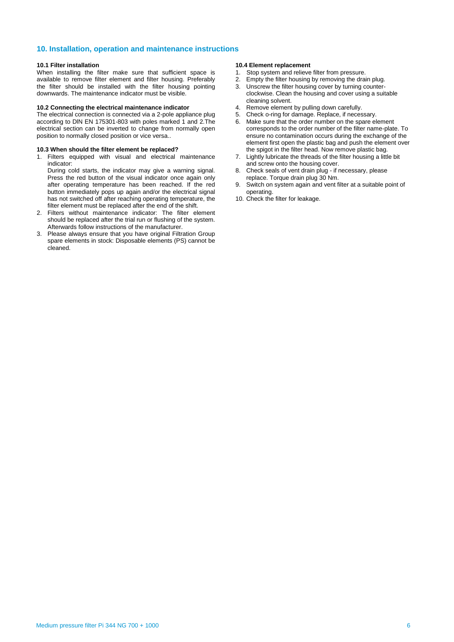#### **10. Installation, operation and maintenance instructions**

#### **10.1 Filter installation**

When installing the filter make sure that sufficient space is available to remove filter element and filter housing. Preferably the filter should be installed with the filter housing pointing downwards. The maintenance indicator must be visible.

#### **10.2 Connecting the electrical maintenance indicator**

The electrical connection is connected via a 2-pole appliance plug according to DlN EN 175301-803 with poles marked 1 and 2.The electrical section can be inverted to change from normally open position to normally closed position or vice versa..

#### **10.3 When should the filter element be replaced?**

1. Filters equipped with visual and electrical maintenance indicator:

During cold starts, the indicator may give a warning signal. Press the red button of the visual indicator once again only after operating temperature has been reached. If the red button immediately pops up again and/or the electrical signal has not switched off after reaching operating temperature, the filter element must be replaced after the end of the shift.

- 2. Filters without maintenance indicator: The filter element should be replaced after the trial run or flushing of the system. Afterwards follow instructions of the manufacturer.
- 3. Please always ensure that you have original Filtration Group spare elements in stock: Disposable elements (PS) cannot be cleaned.

#### **10.4 Element replacement**

- 1. Stop system and relieve filter from pressure.<br>2. Empty the filter housing by removing the drain
- 2. Empty the filter housing by removing the drain plug.<br>3. Unscrew the filter housing cover by turning counter-
- Unscrew the filter housing cover by turning counterclockwise. Clean the housing and cover using a suitable cleaning solvent.
- 4. Remove element by pulling down carefully.
- 5. Check o-ring for damage. Replace, if necessary.
- 6. Make sure that the order number on the spare element corresponds to the order number of the filter name-plate. To ensure no contamination occurs during the exchange of the element first open the plastic bag and push the element over the spigot in the filter head. Now remove plastic bag.
- 7. Lightly lubricate the threads of the filter housing a little bit and screw onto the housing cover.
- 8. Check seals of vent drain plug if necessary, please replace. Torque drain plug 30 Nm.
- 9. Switch on system again and vent filter at a suitable point of operating.
- 10. Check the filter for leakage.